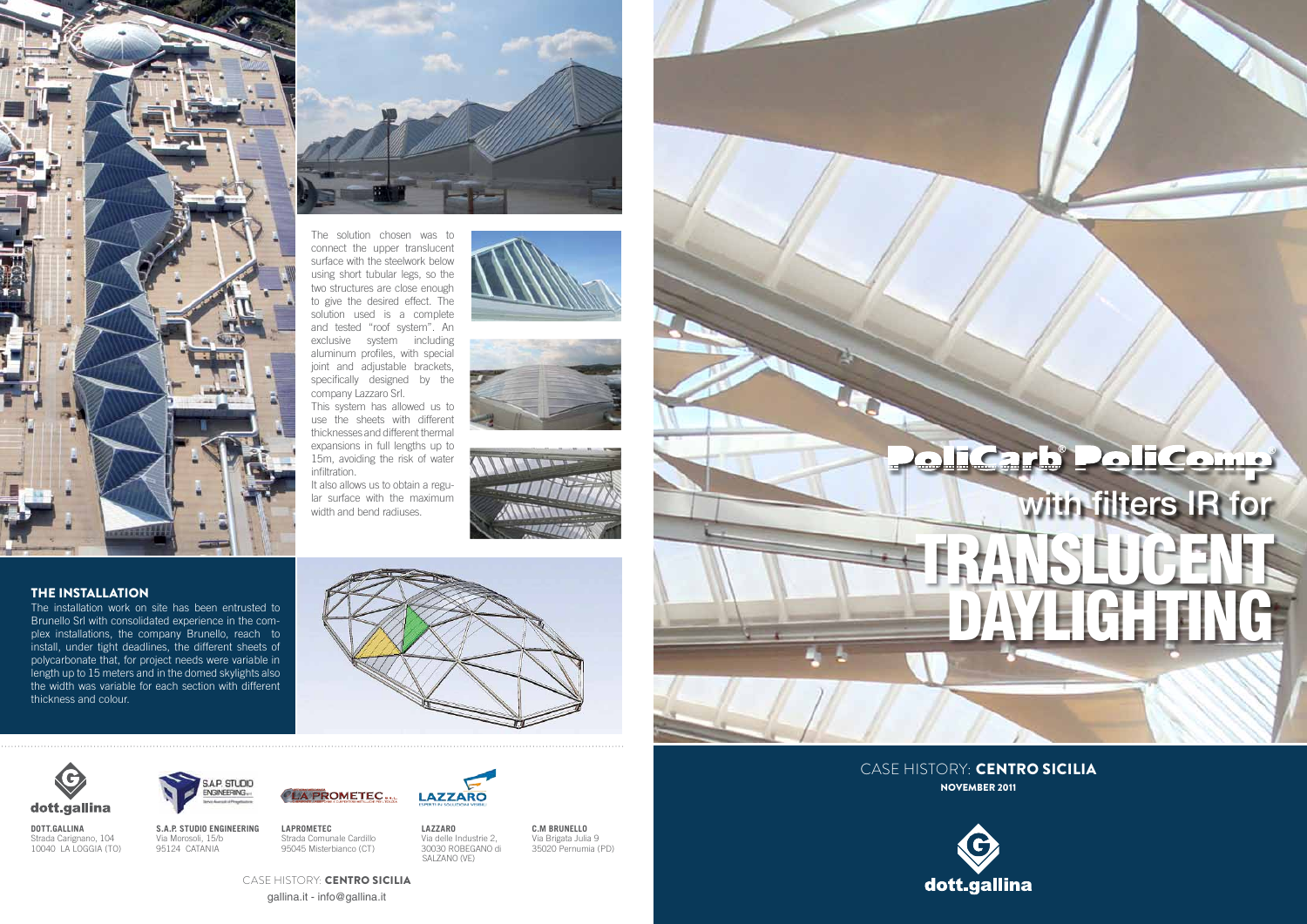**dott.gallina** Strada Carignano, 104 10040 LA LOGGIA (TO) **S.A.P. Studio Engineering** Via Morosoli, 15/b 95124 CATANIA

**SAP. STUDIO** ENGINEERING...

> **LAPROMETEC** Strada Comunale Cardillo 95045 Misterbianco (CT)



 Via delle Industrie 2, 30030 ROBEGANO di

SALZANO (VE)

**c.m bRUNELLO** Via Brigata Julia 9 35020 Pernumia (PD)

THE INSTALLATION

The installation work on site has been entrusted to Brunello Srl with consolidated experience in the complex installations, the company Brunello, reach to install, under tight deadlines, the different sheets of polycarbonate that, for project needs were variable in length up to 15 meters and in the domed skylights also the width was variable for each section with different

thickness and colour.





The solution chosen was to connect the upper translucent surface with the steelwork below using short tubular legs, so the two structures are close enough to give the desired effect. The solution used is a complete and tested "roof system". An exclusive system including aluminum profiles, with special joint and adjustable brackets, specifically designed by the company Lazzaro Srl.

This system has allowed us to use the sheets with different thicknesses and different thermal expansions in full lengths up to 15m, avoiding the risk of water infiltration.

It also allows us to obtain a regular surface with the maximum width and bend radiuses.











Case history: Centro Sicilia

LA PROMETEC.

Case history: Centro Sicilia NOVEMBER 2011





gallina.it - info@gallina.it